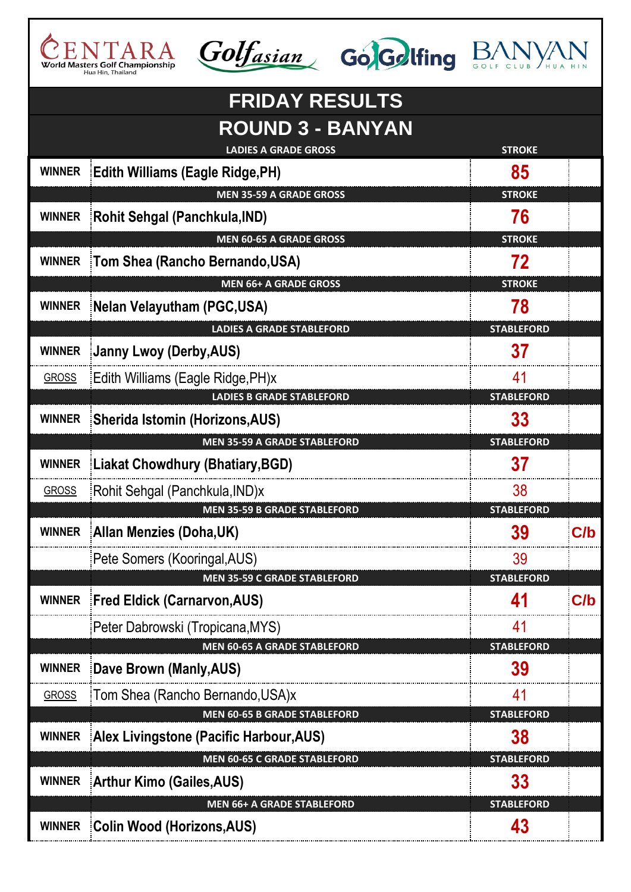







|               | <b>FRIDAY RESULTS</b><br><b>ROUND 3 - BANYAN</b>                        |                         |     |
|---------------|-------------------------------------------------------------------------|-------------------------|-----|
|               | <b>LADIES A GRADE GROSS</b><br>WINNER Edith Williams (Eagle Ridge, PH)  | <b>STROKE</b><br>85     |     |
|               | <b>MEN 35-59 A GRADE GROSS</b>                                          | <b>STROKE</b>           |     |
| <b>WINNER</b> | Rohit Sehgal (Panchkula, IND)                                           | 76                      |     |
|               | <b>MEN 60-65 A GRADE GROSS</b>                                          | <b>STROKE</b>           |     |
| <b>WINNER</b> | Tom Shea (Rancho Bernando, USA)                                         | 72                      |     |
|               | <b>MEN 66+ A GRADE GROSS</b>                                            | <b>STROKE</b>           |     |
| <b>WINNER</b> | Nelan Velayutham (PGC,USA)                                              | 78                      |     |
|               | <b>LADIES A GRADE STABLEFORD</b>                                        | <b>STABLEFORD</b>       |     |
| <b>WINNER</b> | Janny Lwoy (Derby, AUS)                                                 | 37                      |     |
| <b>GROSS</b>  | Edith Williams (Eagle Ridge, PH)x                                       | 41                      |     |
|               | <b>LADIES B GRADE STABLEFORD</b>                                        | <b>STABLEFORD</b>       |     |
| <b>WINNER</b> | Sherida Istomin (Horizons, AUS)<br><b>MEN 35-59 A GRADE STABLEFORD</b>  | 33<br><b>STABLEFORD</b> |     |
|               | WINNER   Liakat Chowdhury (Bhatiary, BGD)                               | 37                      |     |
| <b>GROSS</b>  | Rohit Sehgal (Panchkula, IND)x                                          | 38                      |     |
|               | <b>MEN 35-59 B GRADE STABLEFORD</b>                                     | <b>STABLEFORD</b>       |     |
| <b>WINNER</b> | Allan Menzies (Doha,UK)                                                 | 39                      | C/b |
|               | Pete Somers (Kooringal, AUS)                                            | 39                      |     |
|               | <b>MEN 35-59 C GRADE STABLEFORD</b>                                     | <b>STABLEFORD</b>       |     |
| <b>WINNER</b> | <b>Fred Eldick (Carnarvon, AUS)</b>                                     | 41                      | C/b |
|               | Peter Dabrowski (Tropicana, MYS)                                        | 41                      |     |
|               | <b>MEN 60-65 A GRADE STABLEFORD</b>                                     | <b>STABLEFORD</b>       |     |
| <b>WINNER</b> | Dave Brown (Manly, AUS)                                                 | 39                      |     |
| <b>GROSS</b>  | Tom Shea (Rancho Bernando, USA)x<br><b>MEN 60-65 B GRADE STABLEFORD</b> | 41<br><b>STABLEFORD</b> |     |
| <b>WINNER</b> | Alex Livingstone (Pacific Harbour, AUS)                                 | 38                      |     |
|               | <b>MEN 60-65 C GRADE STABLEFORD</b>                                     | <b>STABLEFORD</b>       |     |
| <b>WINNER</b> | <b>Arthur Kimo (Gailes, AUS)</b>                                        | 33                      |     |
|               | <b>MEN 66+ A GRADE STABLEFORD</b>                                       | <b>STABLEFORD</b>       |     |
|               | WINNER Colin Wood (Horizons, AUS)                                       | 43                      |     |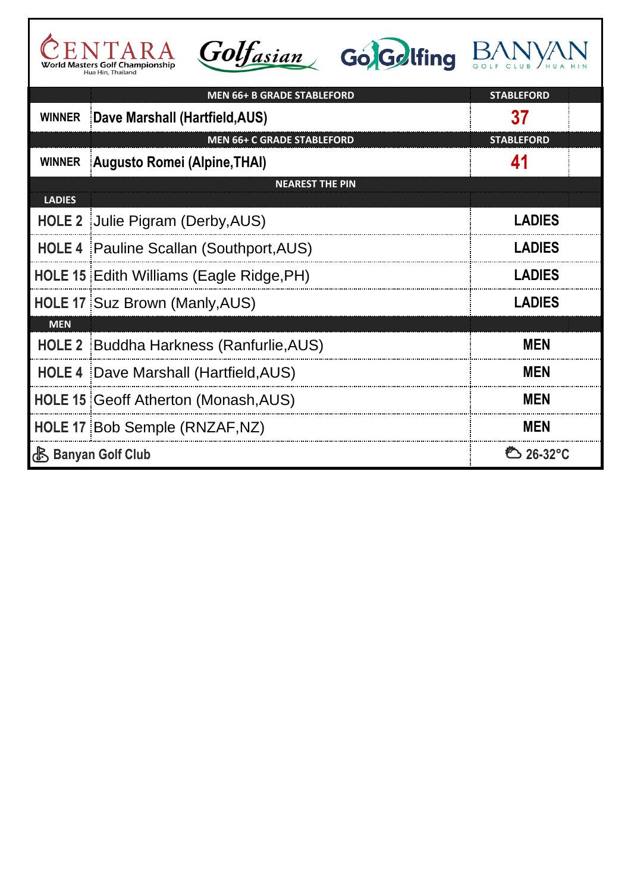| $\sqrt{1}$                      |  |
|---------------------------------|--|
| World Masters Golf Championship |  |
| Hua Hin, Thailand               |  |







|               | <b>MEN 66+ B GRADE STABLEFORD</b>            | <b>STABLEFORD</b>      |  |
|---------------|----------------------------------------------|------------------------|--|
| <b>WINNER</b> | Dave Marshall (Hartfield, AUS)               | 37                     |  |
|               | <b>MEN 66+ C GRADE STABLEFORD</b>            | <b>STABLEFORD</b>      |  |
| <b>WINNER</b> | Augusto Romei (Alpine, THAI)                 | 41                     |  |
|               | <b>NEAREST THE PIN</b>                       |                        |  |
| <b>LADIES</b> |                                              |                        |  |
|               | HOLE 2 Julie Pigram (Derby, AUS)             | <b>LADIES</b>          |  |
|               | HOLE 4 Pauline Scallan (Southport, AUS)      | <b>LADIES</b>          |  |
|               | HOLE 15 Edith Williams (Eagle Ridge, PH)     | <b>LADIES</b>          |  |
|               | HOLE 17 Suz Brown (Manly, AUS)               | <b>LADIES</b>          |  |
| <b>MEN</b>    |                                              |                        |  |
|               | HOLE 2 Buddha Harkness (Ranfurlie, AUS)      | <b>MEN</b>             |  |
|               | <b>HOLE 4 Dave Marshall (Hartfield, AUS)</b> | <b>MEN</b>             |  |
|               | HOLE 15 Geoff Atherton (Monash, AUS)         | <b>MEN</b>             |  |
|               | HOLE 17 Bob Semple (RNZAF, NZ)               | <b>MEN</b>             |  |
|               | <b>心 Banyan Golf Club</b>                    | <sup>ව</sup> ි 26-32°C |  |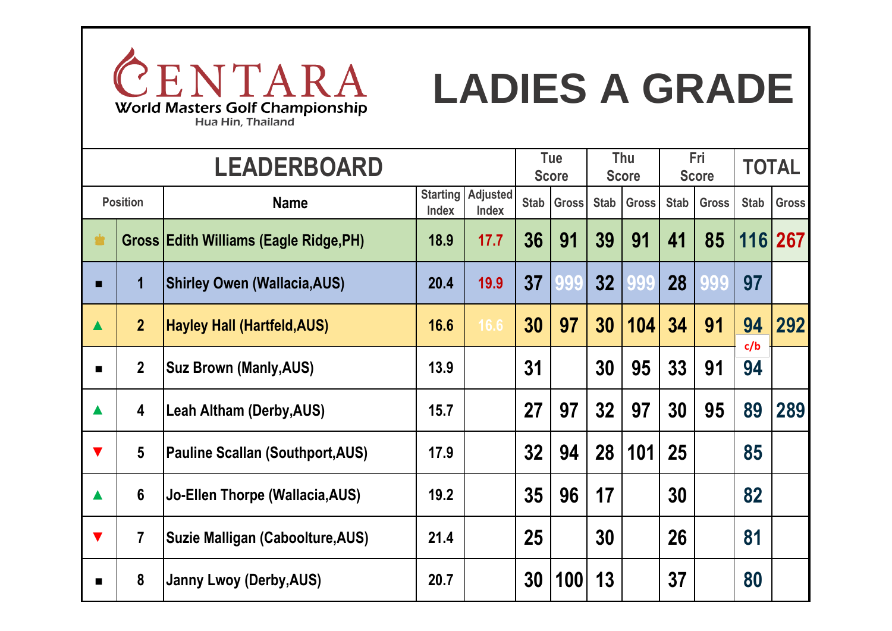

# **LADIES A GRADE**

**Name Starting Adjusted Index Index Stab Gross Stab Gross Stab Gross Stab Gross** ♚ **Gross Edith Williams (Eagle Ridge,PH) 18.9 17.7 36 91 39 91 41 85 116 267 ■ 1 Shirley Owen (Wallacia,AUS) 20.4 19.9 37 999 32 999 28 999 97 ### ▲ 2 Hayley Hall (Hartfeld,AUS) 16.6 16.6 30 97 30 104 34 91 94 292 ■ 2 Suz Brown (Manly,AUS) 13.9 13.9 31 999 30 95 33 91 94 ### ▲ 4 Leah Altham (Derby,AUS) 15.7 15.7 27 97 32 97 30 95 89 289 ▼ 5 Pauline Scallan (Southport,AUS) 17.9 17.9 32 94 28 101 25 999 85 ### 4 1** 6 **30 Jo-Ellen Thorpe (Wallacia,AUS) 19.2 19.2 19.2 19.2 19.2 19.2 19.99 19.2 19.99 19.99 19.99 19.99 19.99 19.99 19.99 19.99 19.99 19.99 19.99 19.99 19.99 19.99 19.99 ▼ 7 Suzie Malligan (Caboolture,AUS) 21.4 21.4 25 999 30 999 26 999 81 ### a**  $\vert$  8  $\vert$  Janny Lwoy (Derby,AUS) **20.7**  $\vert$  20.7  $\vert$  30  $\vert$  100 $\vert$  13  $\vert$  37  $\vert$  80 **Position Tue Score Thu Score Fri Score LEADERBOARD TOTAL c/b**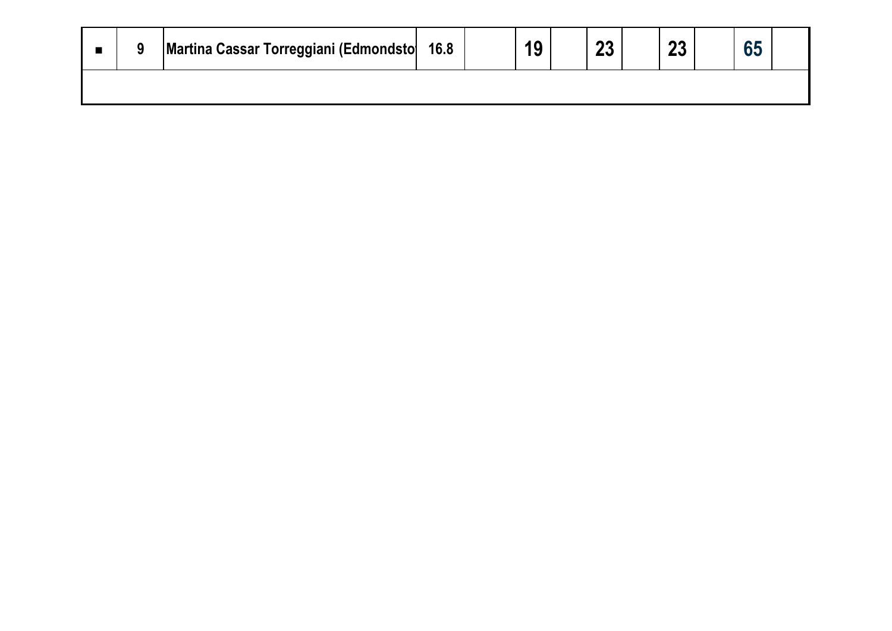|  | Martina Cassar Torreggiani (Edmondsto 16.8 |  |  | nn.<br>ΔV | n n |  |  |
|--|--------------------------------------------|--|--|-----------|-----|--|--|
|  |                                            |  |  |           |     |  |  |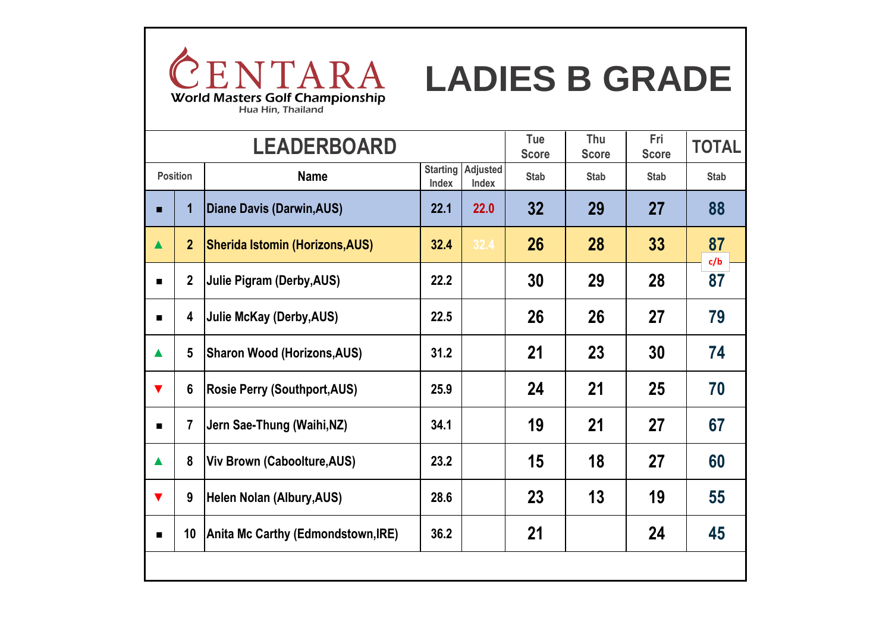

|                      |                 | <b>LEADERBOARD</b>                     |                          |                   | Tue<br><b>Score</b> | Thu<br><b>Score</b> | Fri<br><b>Score</b> | <b>TOTAL</b> |
|----------------------|-----------------|----------------------------------------|--------------------------|-------------------|---------------------|---------------------|---------------------|--------------|
|                      | <b>Position</b> | <b>Name</b>                            | <b>Starting</b><br>Index | Adjusted<br>Index | <b>Stab</b>         | <b>Stab</b>         | <b>Stab</b>         | <b>Stab</b>  |
| п                    | 1               | Diane Davis (Darwin, AUS)              | 22.1                     | 22.0              | 32                  | 29                  | 27                  | 88           |
| $\blacktriangle$     | 2 <sup>2</sup>  | <b>Sherida Istomin (Horizons, AUS)</b> | 32.4                     | 32.4              | 26                  | 28                  | 33                  | 87<br>c/b    |
|                      | $\overline{2}$  | Julie Pigram (Derby, AUS)              | 22.2                     |                   | 30                  | 29                  | 28                  | 87           |
|                      | 4               | Julie McKay (Derby, AUS)               | 22.5                     |                   | 26                  | 26                  | 27                  | 79           |
| $\blacktriangle$     | $5\phantom{.0}$ | <b>Sharon Wood (Horizons, AUS)</b>     | 31.2                     |                   | 21                  | 23                  | 30                  | 74           |
| $\blacktriangledown$ | $6\phantom{1}$  | <b>Rosie Perry (Southport, AUS)</b>    | 25.9                     |                   | 24                  | 21                  | 25                  | 70           |
|                      | $\overline{7}$  | Jern Sae-Thung (Waihi, NZ)             | 34.1                     |                   | 19                  | 21                  | 27                  | 67           |
| $\blacktriangle$     | 8               | Viv Brown (Caboolture, AUS)            | 23.2                     |                   | 15                  | 18                  | 27                  | 60           |
| $\blacktriangledown$ | 9               | Helen Nolan (Albury, AUS)              | 28.6                     |                   | 23                  | 13                  | 19                  | 55           |
|                      | 10              | Anita Mc Carthy (Edmondstown, IRE)     | 36.2                     |                   | 21                  |                     | 24                  | 45           |
|                      |                 |                                        |                          |                   |                     |                     |                     |              |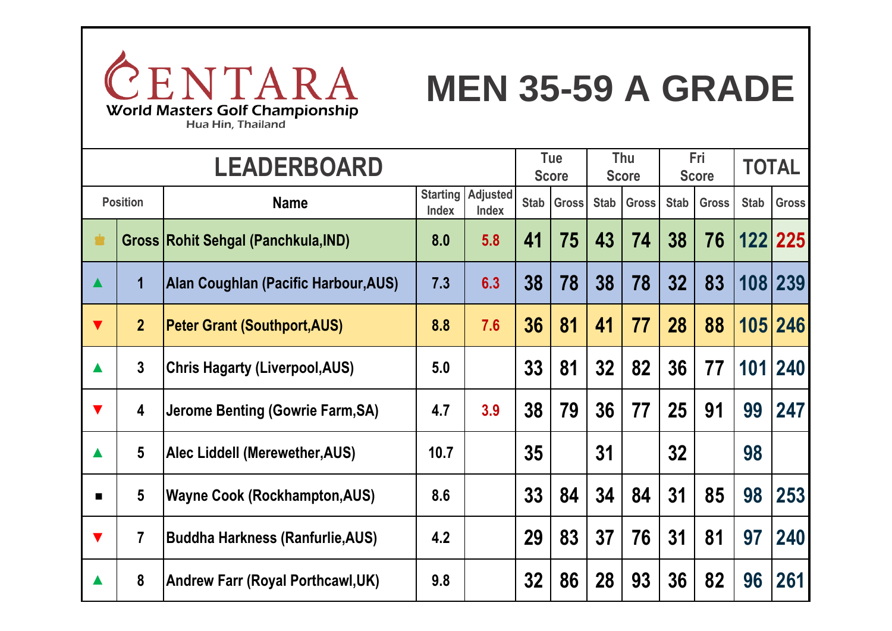

## **MEN 35-59 A GRADE**

Hua Hin, Thailand

|                      |                         | <b>LEADERBOARD</b>                         |                                 |                                 |             | <b>Tue</b><br><b>Score</b> | Thu<br><b>Score</b> |              | <b>Fri</b><br><b>Score</b> |              | <b>TOTAL</b> |               |
|----------------------|-------------------------|--------------------------------------------|---------------------------------|---------------------------------|-------------|----------------------------|---------------------|--------------|----------------------------|--------------|--------------|---------------|
|                      | <b>Position</b>         | <b>Name</b>                                | <b>Starting</b><br><b>Index</b> | <b>Adjusted</b><br><b>Index</b> | <b>Stab</b> | <b>Gross</b>               | <b>Stab</b>         | <b>Gross</b> | <b>Stab</b>                | <b>Gross</b> | <b>Stab</b>  | <b>Gross</b>  |
| <b>SE</b>            |                         | <b>Gross Rohit Sehgal (Panchkula, IND)</b> | 8.0                             | 5.8                             | 41          | 75                         | 43                  | 74           | 38                         | 76           |              | 122 225       |
| $\blacktriangle$     | $\mathbf 1$             | Alan Coughlan (Pacific Harbour, AUS)       | 7.3                             | 6.3                             | 38          | 78                         | 38                  | 78           | 32 <sub>2</sub>            | 83           |              | 108 239       |
| $\blacktriangledown$ | $\overline{2}$          | <b>Peter Grant (Southport, AUS)</b>        | 8.8                             | 7.6                             | 36          | 81                         | 41                  | 77           | 28                         | 88           |              | 105 246       |
| $\blacktriangle$     | $\mathbf{3}$            | <b>Chris Hagarty (Liverpool, AUS)</b>      | 5.0                             |                                 | 33          | 81                         | 32 <sub>2</sub>     | 82           | 36                         | 77           | 101          | $ 240\rangle$ |
| $\blacktriangledown$ | $\overline{\mathbf{4}}$ | Jerome Benting (Gowrie Farm, SA)           | 4.7                             | 3.9                             | 38          | 79                         | 36                  | 77           | 25                         | 91           | 99           | 247           |
| $\blacktriangle$     | $5\phantom{.0}$         | Alec Liddell (Merewether, AUS)             | 10.7                            |                                 | 35          |                            | 31                  |              | 32                         |              | 98           |               |
| $\blacksquare$       | $5\phantom{.0}$         | <b>Wayne Cook (Rockhampton, AUS)</b>       | 8.6                             |                                 | 33          | 84                         | 34                  | 84           | 31                         | 85           | 98           | 253           |
| $\blacktriangledown$ | $\overline{7}$          | <b>Buddha Harkness (Ranfurlie, AUS)</b>    | 4.2                             |                                 | 29          | 83                         | 37                  | 76           | 31                         | 81           | 97           | 240           |
| $\blacktriangle$     | 8                       | <b>Andrew Farr (Royal Porthcawl, UK)</b>   | 9.8                             |                                 | 32          | 86                         | 28                  | 93           | 36                         | 82           | 96           | 261           |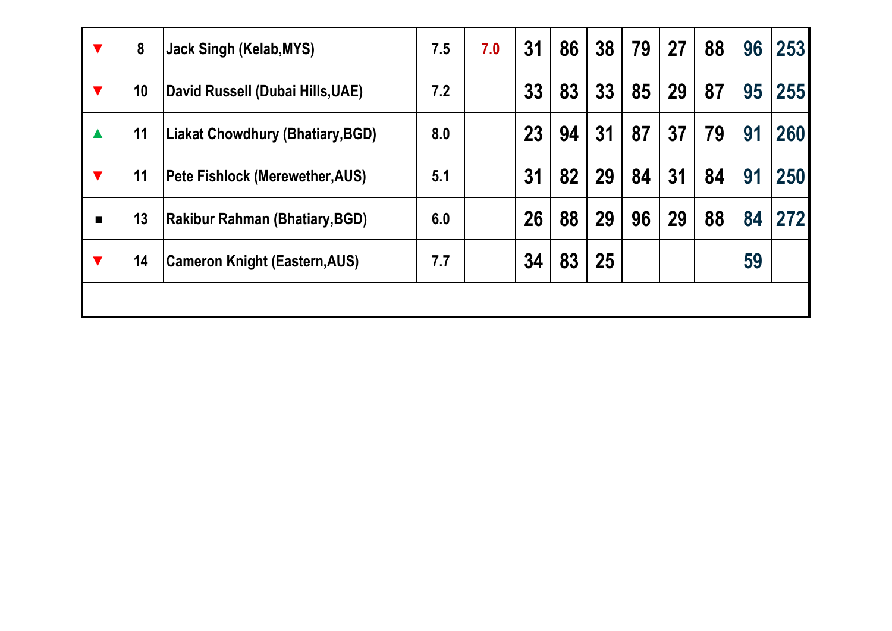| ▼                    | 8  | <b>Jack Singh (Kelab, MYS)</b>          | 7.5 | 7.0 | 31 | 86 | 38 | 79 | 27 | 88 | 96 | 253 |
|----------------------|----|-----------------------------------------|-----|-----|----|----|----|----|----|----|----|-----|
| $\blacktriangledown$ | 10 | David Russell (Dubai Hills, UAE)        | 7.2 |     | 33 | 83 | 33 | 85 | 29 | 87 | 95 | 255 |
| $\blacktriangle$     | 11 | <b>Liakat Chowdhury (Bhatiary, BGD)</b> | 8.0 |     | 23 | 94 | 31 | 87 | 37 | 79 | 91 | 260 |
| $\blacktriangledown$ | 11 | <b>Pete Fishlock (Merewether, AUS)</b>  | 5.1 |     | 31 | 82 | 29 | 84 | 31 | 84 | 91 | 250 |
| $\blacksquare$       | 13 | <b>Rakibur Rahman (Bhatiary, BGD)</b>   | 6.0 |     | 26 | 88 | 29 | 96 | 29 | 88 | 84 | 272 |
| $\blacktriangledown$ | 14 | <b>Cameron Knight (Eastern, AUS)</b>    | 7.7 |     | 34 | 83 | 25 |    |    |    | 59 |     |
|                      |    |                                         |     |     |    |    |    |    |    |    |    |     |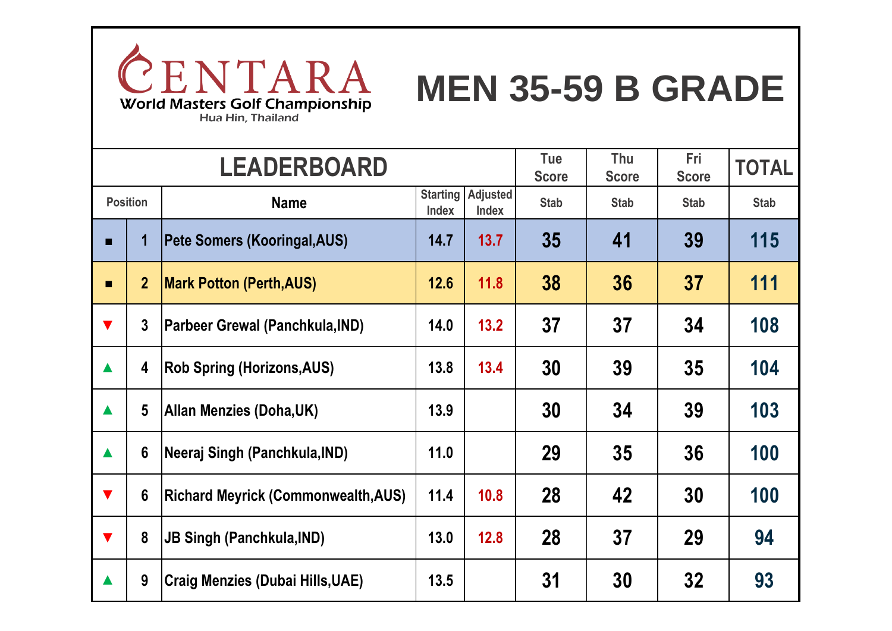

# **MEN 35-59 B GRADE**

|                      |                         | <b>LEADERBOARD</b>                         |                                 |                                 | Tue<br><b>Score</b> | Thu<br><b>Score</b> | <b>Fri</b><br><b>Score</b> | <b>TOTAL</b> |
|----------------------|-------------------------|--------------------------------------------|---------------------------------|---------------------------------|---------------------|---------------------|----------------------------|--------------|
| <b>Position</b>      |                         | <b>Name</b>                                | <b>Starting</b><br><b>Index</b> | <b>Adjusted</b><br><b>Index</b> | <b>Stab</b>         | <b>Stab</b>         | <b>Stab</b>                | <b>Stab</b>  |
|                      | 1                       | Pete Somers (Kooringal,AUS)                | 14.7                            | 13.7                            | 35                  | 41                  | 39                         | 115          |
| $\blacksquare$       | $\overline{2}$          | <b>Mark Potton (Perth, AUS)</b>            | 12.6                            | 11.8                            | 38                  | 36                  | 37                         | 111          |
| $\blacktriangledown$ | $\mathbf{3}$            | Parbeer Grewal (Panchkula, IND)            | 14.0                            | 13.2                            | 37                  | 37                  | 34                         | 108          |
| $\blacktriangle$     | $\overline{\mathbf{4}}$ | <b>Rob Spring (Horizons, AUS)</b>          | 13.8                            | 13.4                            | 30                  | 39                  | 35                         | 104          |
| $\blacktriangle$     | 5                       | Allan Menzies (Doha,UK)                    | 13.9                            |                                 | 30                  | 34                  | 39                         | 103          |
| $\blacktriangle$     | 6                       | Neeraj Singh (Panchkula, IND)              | 11.0                            |                                 | 29                  | 35                  | 36                         | 100          |
| $\blacktriangledown$ | $6\phantom{1}6$         | <b>Richard Meyrick (Commonwealth, AUS)</b> | 11.4                            | 10.8                            | 28                  | 42                  | 30                         | 100          |
| $\blacktriangledown$ | 8                       | <b>JB Singh (Panchkula, IND)</b>           | 13.0                            | 12.8                            | 28                  | 37                  | 29                         | 94           |
|                      | 9                       | <b>Craig Menzies (Dubai Hills, UAE)</b>    | 13.5                            |                                 | 31                  | 30                  | 32                         | 93           |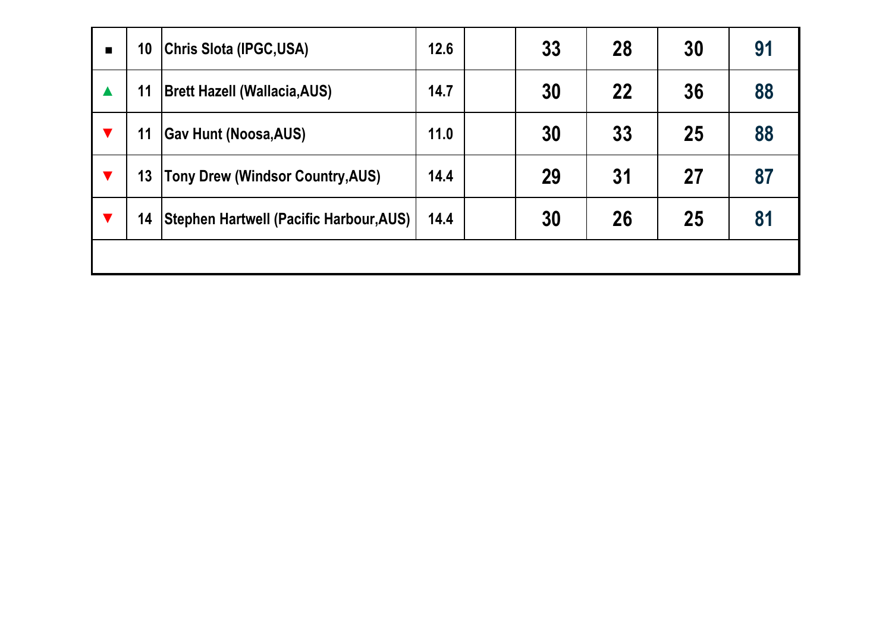| $\blacksquare$ | 10 | <b>Chris Slota (IPGC,USA)</b>                  | 12.6 | 33 | 28 | 30 | 91 |
|----------------|----|------------------------------------------------|------|----|----|----|----|
|                | 11 | <b>Brett Hazell (Wallacia, AUS)</b>            | 14.7 | 30 | 22 | 36 | 88 |
|                | 11 | <b>Gav Hunt (Noosa, AUS)</b>                   | 11.0 | 30 | 33 | 25 | 88 |
|                | 13 | Tony Drew (Windsor Country, AUS)               | 14.4 | 29 | 31 | 27 | 87 |
|                | 14 | <b>Stephen Hartwell (Pacific Harbour, AUS)</b> | 14.4 | 30 | 26 | 25 | 81 |
|                |    |                                                |      |    |    |    |    |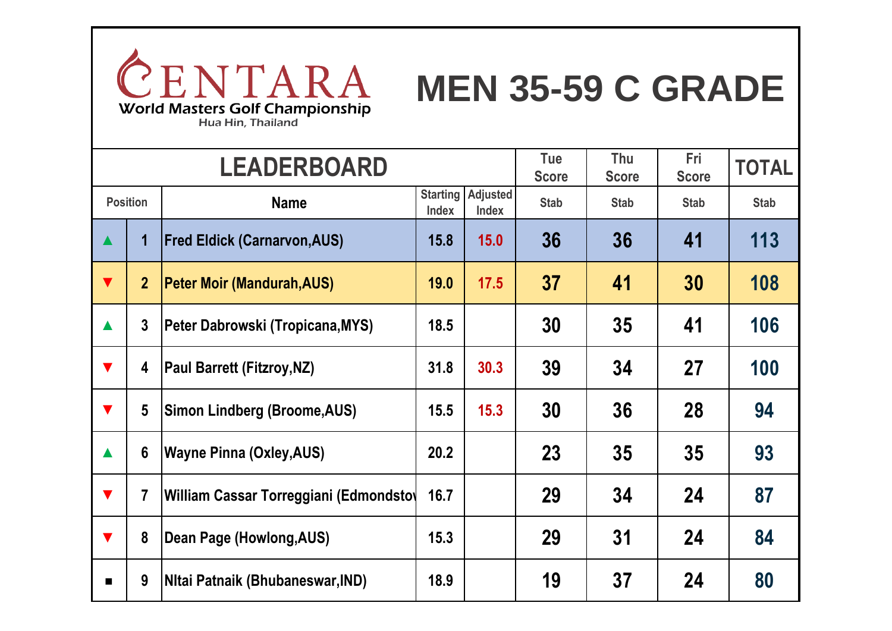

## **MEN 35-59 C GRADE**

|                      |                 | <b>LEADERBOARD</b>                     |              |                                          | Tue<br><b>Score</b> | Thu<br><b>Score</b> | Fri<br><b>Score</b> | <b>TOTAL</b> |
|----------------------|-----------------|----------------------------------------|--------------|------------------------------------------|---------------------|---------------------|---------------------|--------------|
|                      | <b>Position</b> | <b>Name</b>                            | <b>Index</b> | <b>Starting Adjusted</b><br><b>Index</b> | <b>Stab</b>         | <b>Stab</b>         | <b>Stab</b>         | <b>Stab</b>  |
| $\blacktriangle$     | 1               | <b>Fred Eldick (Carnarvon, AUS)</b>    | 15.8         | 15.0                                     | 36                  | 36                  | 41                  | 113          |
| $\blacktriangledown$ | $\overline{2}$  | <b>Peter Moir (Mandurah, AUS)</b>      | 19.0         | 17.5                                     | 37                  | 41                  | 30                  | 108          |
| $\blacktriangle$     | $\overline{3}$  | Peter Dabrowski (Tropicana, MYS)       | 18.5         |                                          | 30                  | 35                  | 41                  | 106          |
| $\blacktriangledown$ | 4               | <b>Paul Barrett (Fitzroy, NZ)</b>      | 31.8         | 30.3                                     | 39                  | 34                  | 27                  | 100          |
| $\blacktriangledown$ | 5               | <b>Simon Lindberg (Broome, AUS)</b>    | 15.5         | 15.3                                     | 30                  | 36                  | 28                  | 94           |
| $\blacktriangle$     | $6\phantom{1}6$ | <b>Wayne Pinna (Oxley, AUS)</b>        | 20.2         |                                          | 23                  | 35                  | 35                  | 93           |
| $\blacktriangledown$ | 7               | William Cassar Torreggiani (Edmondsto) | 16.7         |                                          | 29                  | 34                  | 24                  | 87           |
| $\blacktriangledown$ | 8               | Dean Page (Howlong, AUS)               | 15.3         |                                          | 29                  | 31                  | 24                  | 84           |
| ■                    | 9               | Nitai Patnaik (Bhubaneswar, IND)       | 18.9         |                                          | 19                  | 37                  | 24                  | 80           |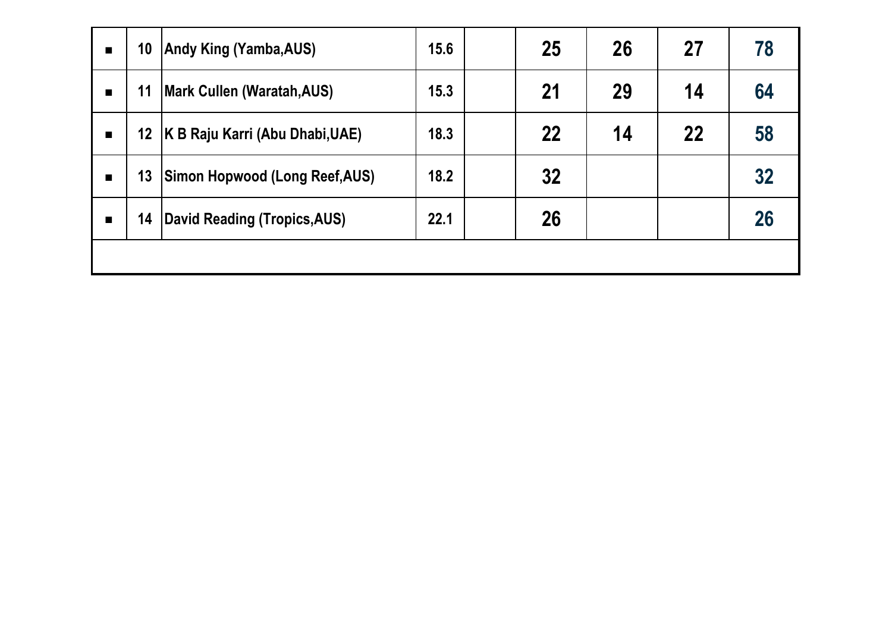| $\blacksquare$ | 10              | Andy King (Yamba,AUS)                  | 15.6 | 25 | 26 | 27 | 78 |
|----------------|-----------------|----------------------------------------|------|----|----|----|----|
| $\blacksquare$ | 11              | <b>Mark Cullen (Waratah, AUS)</b>      | 15.3 | 21 | 29 | 14 | 64 |
| $\blacksquare$ | 12 <sub>2</sub> | <b>K B Raju Karri (Abu Dhabi, UAE)</b> | 18.3 | 22 | 14 | 22 | 58 |
| $\blacksquare$ | 13              | <b>Simon Hopwood (Long Reef, AUS)</b>  | 18.2 | 32 |    |    | 32 |
| $\blacksquare$ | 14              | David Reading (Tropics, AUS)           | 22.1 | 26 |    |    | 26 |
|                |                 |                                        |      |    |    |    |    |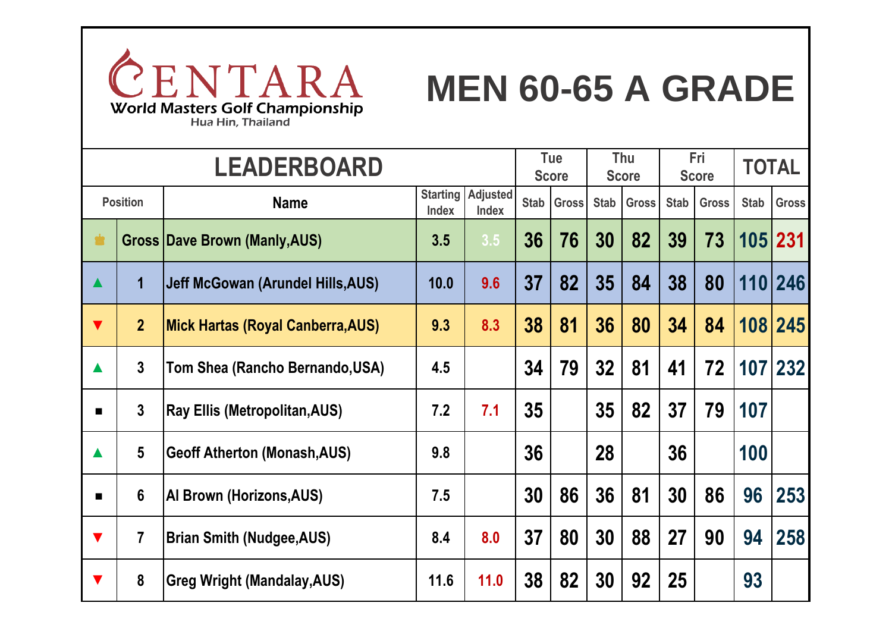

# **MEN 60-65 A GRADE**

|                      | <b>LEADERBOARD</b>      |                                          |                                 |                   |             | <b>Tue</b><br><b>Score</b> |             | Thu<br><b>Score</b> |             | Fri<br><b>Score</b> |             | <b>TOTAL</b> |
|----------------------|-------------------------|------------------------------------------|---------------------------------|-------------------|-------------|----------------------------|-------------|---------------------|-------------|---------------------|-------------|--------------|
|                      | <b>Position</b>         | <b>Name</b>                              | <b>Starting</b><br><b>Index</b> | Adjusted<br>Index | <b>Stab</b> | <b>Gross</b>               | <b>Stab</b> | <b>Gross</b>        | <b>Stab</b> | <b>Gross</b>        | <b>Stab</b> | <b>Gross</b> |
|                      |                         | <b>Gross Dave Brown (Manly, AUS)</b>     | 3.5                             | 3.5               | 36          | 76                         | 30          | 82                  | 39          | 73                  |             | 105 231      |
| $\blacktriangle$     | $\overline{\mathbf{1}}$ | Jeff McGowan (Arundel Hills, AUS)        | 10.0                            | 9.6               | 37          | 82                         | 35          | 84                  | 38          | 80                  |             | 110 246      |
| $\blacktriangledown$ | $\overline{2}$          | <b>Mick Hartas (Royal Canberra, AUS)</b> | 9.3                             | 8.3               | 38          | 81                         | 36          | 80                  | 34          | 84                  |             | 108 245      |
| $\blacktriangle$     | $\overline{3}$          | Tom Shea (Rancho Bernando, USA)          | 4.5                             |                   | 34          | 79                         | 32          | 81                  | 41          | 72                  |             | 107 232      |
| $\blacksquare$       | $\overline{3}$          | <b>Ray Ellis (Metropolitan, AUS)</b>     | 7.2                             | 7.1               | 35          |                            | 35          | 82                  | 37          | 79                  | 107         |              |
| $\blacktriangle$     | $5\phantom{.}$          | <b>Geoff Atherton (Monash, AUS)</b>      | 9.8                             |                   | 36          |                            | 28          |                     | 36          |                     | 100         |              |
|                      | $6\phantom{1}$          | Al Brown (Horizons, AUS)                 | 7.5                             |                   | 30          | 86                         | 36          | 81                  | 30          | 86                  | 96          | 253          |
| $\blacktriangledown$ | $\overline{7}$          | <b>Brian Smith (Nudgee, AUS)</b>         | 8.4                             | 8.0               | 37          | 80                         | 30          | 88                  | 27          | 90                  | 94          | 258          |
| v                    | 8                       | <b>Greg Wright (Mandalay, AUS)</b>       | 11.6                            | 11.0              | 38          | 82                         | 30          | 92                  | 25          |                     | 93          |              |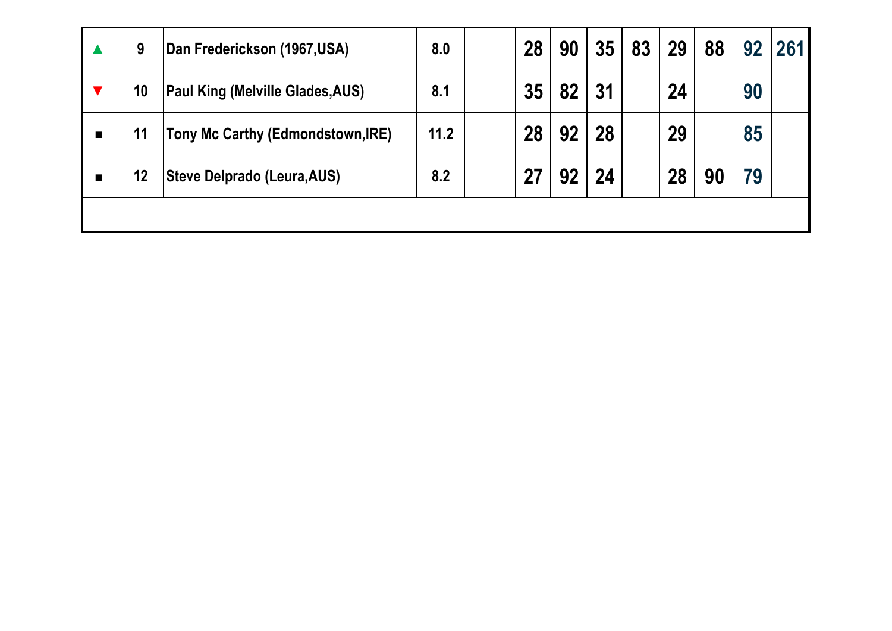| 9               | Dan Frederickson (1967,USA)        | 8.0  | 28 | 90 | 35 | 83 | 29 | 88 | 92 | 261 |
|-----------------|------------------------------------|------|----|----|----|----|----|----|----|-----|
| 10 <sup>°</sup> | Paul King (Melville Glades, AUS)   | 8.1  | 35 | 82 | 31 |    | 24 |    | 90 |     |
| 11              | Tony Mc Carthy (Edmondstown, IRE)  | 11.2 | 28 | 92 | 28 |    | 29 |    | 85 |     |
| 12              | <b>Steve Delprado (Leura, AUS)</b> | 8.2  | 27 | 92 | 24 |    | 28 | 90 | 79 |     |
|                 |                                    |      |    |    |    |    |    |    |    |     |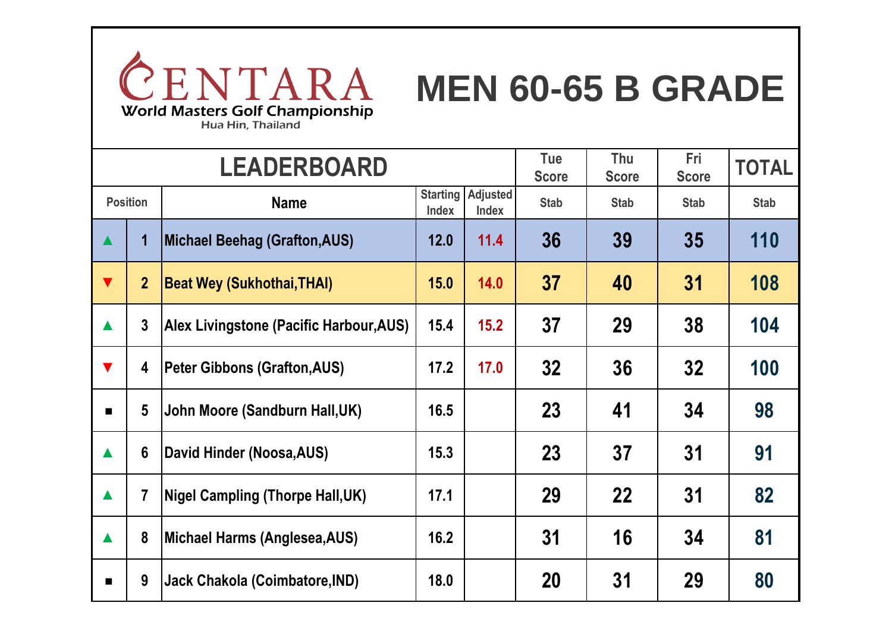

# **MEN 60-65 B GRADE**

|                      |                                | <b>LEADERBOARD</b>                      |      | Tue<br><b>Score</b>                      | Thu<br><b>Score</b> | Fri<br><b>Score</b> | <b>TOTAL</b> |             |
|----------------------|--------------------------------|-----------------------------------------|------|------------------------------------------|---------------------|---------------------|--------------|-------------|
|                      | <b>Position</b><br><b>Name</b> |                                         |      | <b>Starting Adjusted</b><br><b>Index</b> | <b>Stab</b>         | <b>Stab</b>         | <b>Stab</b>  | <b>Stab</b> |
| $\blacktriangle$     | $\overline{\mathbf{1}}$        | <b>Michael Beehag (Grafton, AUS)</b>    | 12.0 | 11.4                                     | 36                  | 39                  | 35           | 110         |
| $\blacktriangledown$ | $\overline{2}$                 | <b>Beat Wey (Sukhothai, THAI)</b>       | 15.0 | 14.0                                     | 37                  | 40                  | 31           | 108         |
| $\blacktriangle$     | $\overline{3}$                 | Alex Livingstone (Pacific Harbour, AUS) | 15.4 | 15.2                                     | 37                  | 29                  | 38           | 104         |
| $\blacktriangledown$ | 4                              | <b>Peter Gibbons (Grafton, AUS)</b>     | 17.2 | 17.0                                     | 32                  | 36                  | 32           | 100         |
| $\blacksquare$       | $5\phantom{.0}$                | John Moore (Sandburn Hall, UK)          | 16.5 |                                          | 23                  | 41                  | 34           | 98          |
| $\blacktriangle$     | $6\phantom{1}6$                | David Hinder (Noosa, AUS)               | 15.3 |                                          | 23                  | 37                  | 31           | 91          |
| $\blacktriangle$     | $\overline{7}$                 | <b>Nigel Campling (Thorpe Hall, UK)</b> | 17.1 |                                          | 29                  | 22                  | 31           | 82          |
| $\blacktriangle$     | 8                              | Michael Harms (Anglesea, AUS)           | 16.2 |                                          | 31                  | 16                  | 34           | 81          |
| ■                    | 9                              | Jack Chakola (Coimbatore, IND)          | 18.0 |                                          | 20                  | 31                  | 29           | 80          |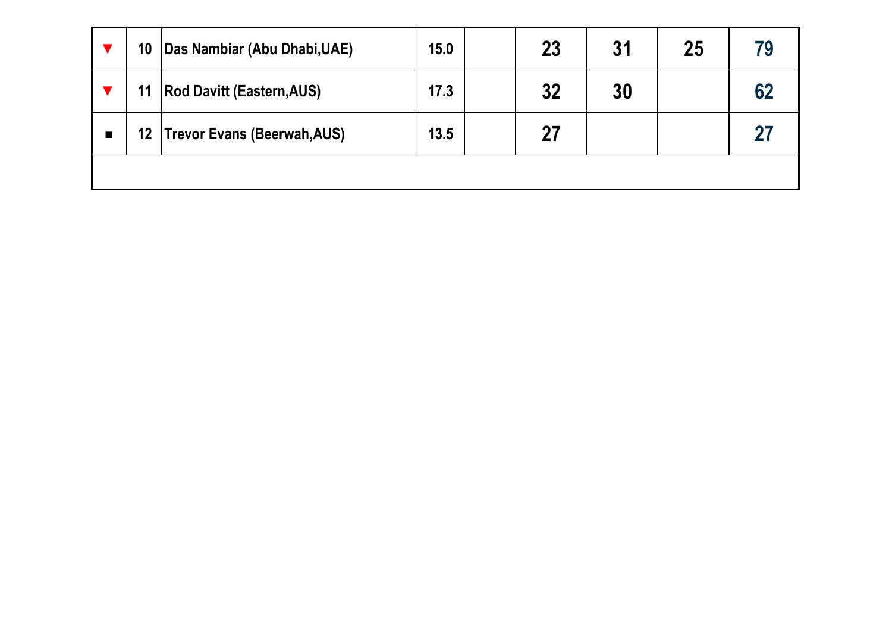|                | 10 | Das Nambiar (Abu Dhabi, UAE)     | 15.0 | 23 | 31 | 25 | 79 |
|----------------|----|----------------------------------|------|----|----|----|----|
|                | 11 | <b>Rod Davitt (Eastern, AUS)</b> | 17.3 | 32 | 30 |    | 62 |
| $\blacksquare$ |    | 12   Trevor Evans (Beerwah, AUS) | 13.5 | 27 |    |    | 27 |
|                |    |                                  |      |    |    |    |    |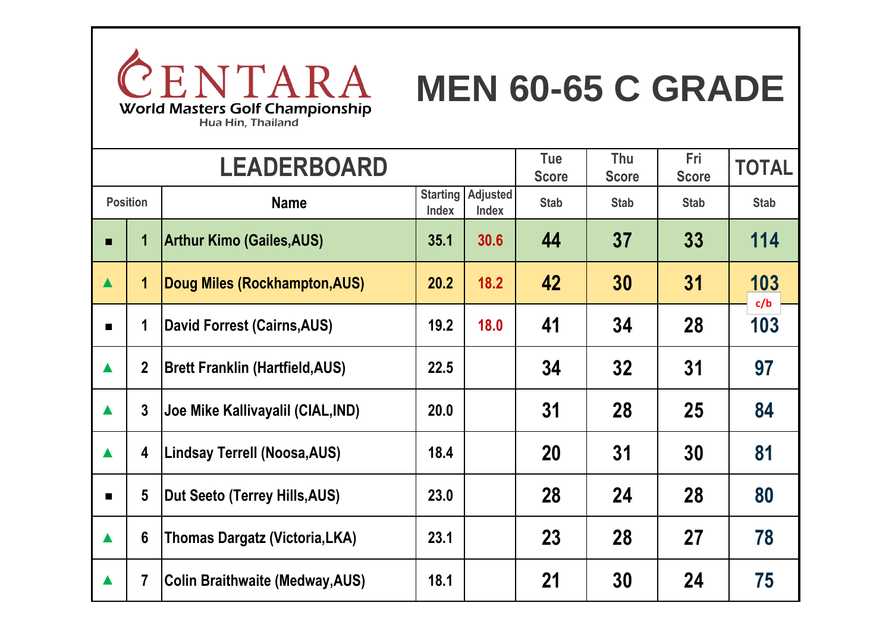

# **MEN 60-65 C GRADE**

Hua Hin, Thailand

|                  |                 | <b>LEADERBOARD</b>                     |                                 |                                 | Tue<br><b>Score</b> | Thu<br><b>Score</b> | Fri<br><b>Score</b> | <b>TOTAL</b> |
|------------------|-----------------|----------------------------------------|---------------------------------|---------------------------------|---------------------|---------------------|---------------------|--------------|
|                  | <b>Position</b> | <b>Name</b>                            | <b>Starting</b><br><b>Index</b> | <b>Adjusted</b><br><b>Index</b> | <b>Stab</b>         | <b>Stab</b>         | <b>Stab</b>         | <b>Stab</b>  |
| п                |                 | <b>Arthur Kimo (Gailes, AUS)</b>       | 35.1                            | 30.6                            | 44                  | 37                  | 33                  | 114          |
| $\blacktriangle$ | $\mathbf 1$     | Doug Miles (Rockhampton, AUS)          | 20.2                            | 18.2                            | 42                  | 30                  | 31                  | 103<br>c/b   |
| $\blacksquare$   | 1               | David Forrest (Cairns, AUS)            | 19.2                            | 18.0                            | 41                  | 34                  | 28                  | 103          |
| $\blacktriangle$ | $\overline{2}$  | <b>Brett Franklin (Hartfield, AUS)</b> | 22.5                            |                                 | 34                  | 32                  | 31                  | 97           |
| $\blacktriangle$ | $\overline{3}$  | Joe Mike Kallivayalil (CIAL, IND)      | 20.0                            |                                 | 31                  | 28                  | 25                  | 84           |
| $\blacktriangle$ | 4               | <b>Lindsay Terrell (Noosa, AUS)</b>    | 18.4                            |                                 | <b>20</b>           | 31                  | 30                  | 81           |
| П                | $5\phantom{.0}$ | Dut Seeto (Terrey Hills, AUS)          | 23.0                            |                                 | 28                  | 24                  | 28                  | 80           |
| $\blacktriangle$ | $6\phantom{1}$  | <b>Thomas Dargatz (Victoria, LKA)</b>  | 23.1                            |                                 | 23                  | 28                  | 27                  | 78           |
| $\blacktriangle$ | 7               | <b>Colin Braithwaite (Medway, AUS)</b> | 18.1                            |                                 | 21                  | 30                  | 24                  | 75           |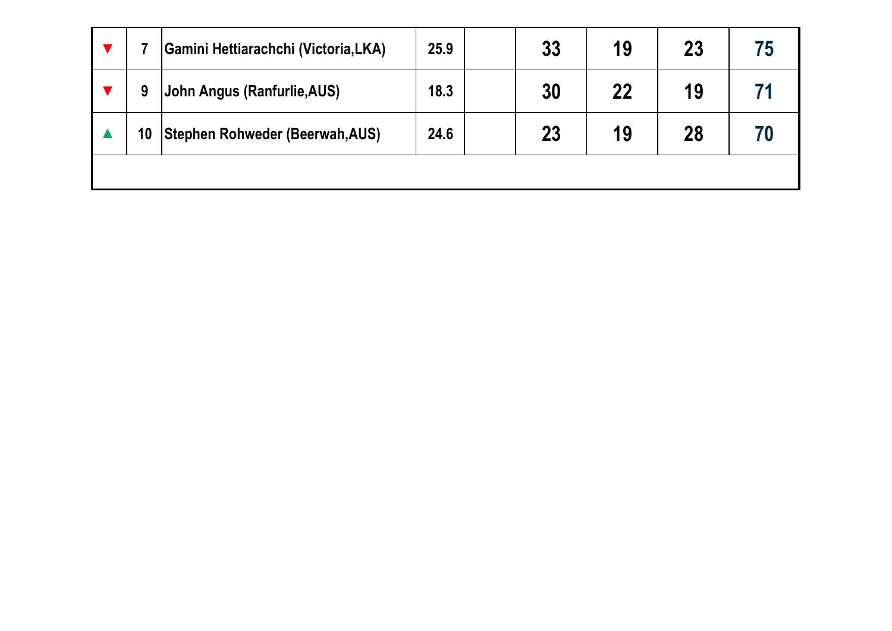|    | <b>Gamini Hettiarachchi (Victoria, LKA)</b> | 25.9 | 33 | 19 | 23 | 75 |
|----|---------------------------------------------|------|----|----|----|----|
| 9  | John Angus (Ranfurlie, AUS)                 | 18.3 | 30 | 22 | 19 |    |
| 10 | Stephen Rohweder (Beerwah, AUS)             | 24.6 | 23 | 19 | 28 | 70 |
|    |                                             |      |    |    |    |    |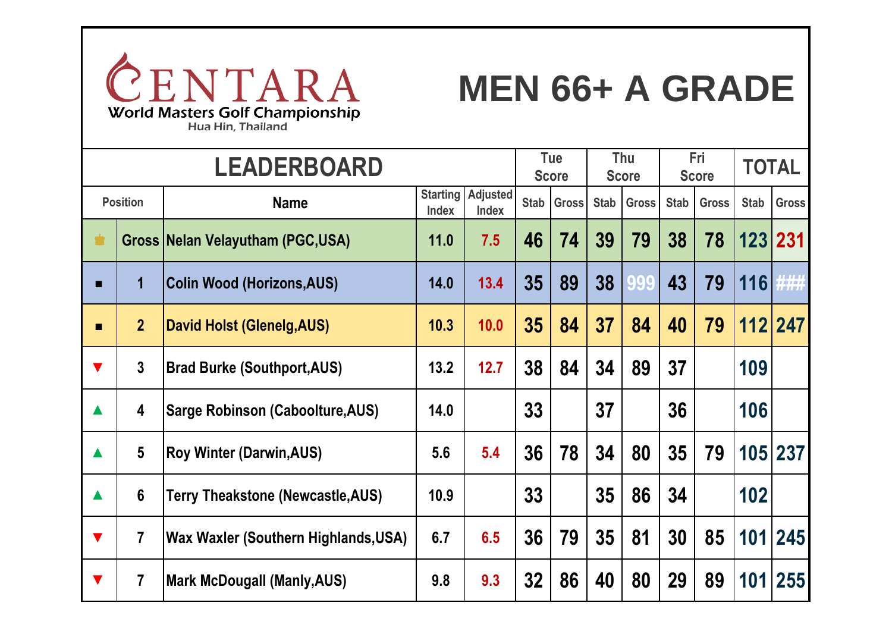

#### **MEN 66+ A GRADE**

**Name Starting Adjusted Index Index Stab Gross Stab Gross Stab Gross Stab Gross** ♚ **Gross Nelan Velayutham (PGC,USA) 11.0 7.5 46 74 39 79 38 78 123 231 ■ 1 Colin Wood (Horizons,AUS) 14.0 13.4 35 89 38 999 43 79 116 ### ■ 2 David Holst (Glenelg,AUS) 10.3 10.0 35 84 37 84 40 79 112 247 ▼ 3 Brad Burke (Southport,AUS) 13.2 12.7 38 84 34 89 37 999 109 ### ▲ 4 Sarge Robinson (Caboolture,AUS) 14.0 14.0 33 999 37 999 36 999 106 ### ▲ 5 Roy Winter (Darwin,AUS) 5.6 5.4 36 78 34 80 35 79 105 237 ▲ 6 Terry Theakstone (Newcastle,AUS) 10.9 10.9 33 999 35 86 34 999 102 ### ▼ 7 Wax Waxler (Southern Highlands,USA) 6.7 6.5 36 79 35 81 30 85 101 245 ▼ 7 Mark McDougall (Manly,AUS) 9.8 9.3 32 86 40 80 29 89 101 255 Position LEADERBOARD Tue Score Thu Score Fri Score TOTAL**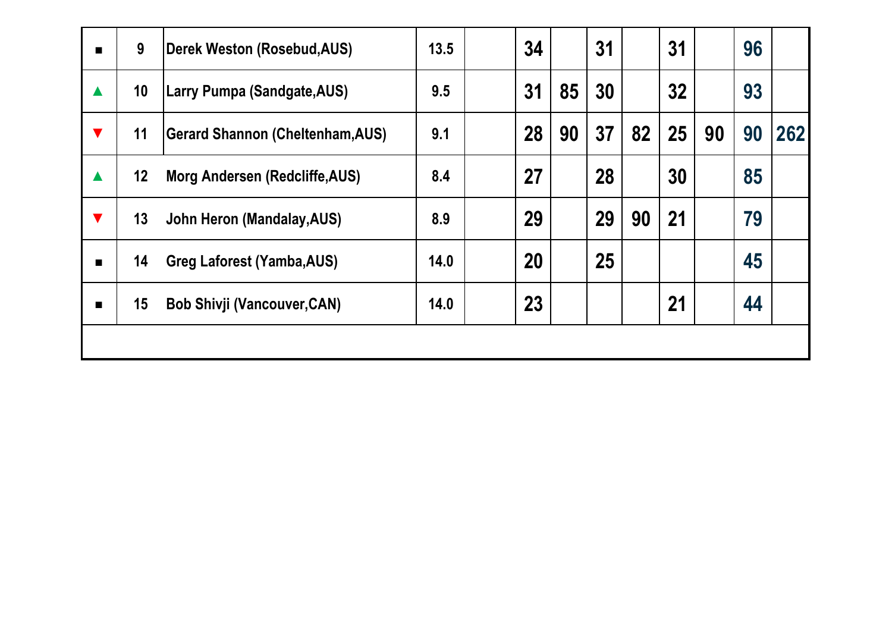| $\blacksquare$       | 9  | Derek Weston (Rosebud, AUS)             | 13.5 | 34 |    | 31 |    | 31 |    | 96 |     |
|----------------------|----|-----------------------------------------|------|----|----|----|----|----|----|----|-----|
| $\blacktriangle$     | 10 | <b>Larry Pumpa (Sandgate, AUS)</b>      | 9.5  | 31 | 85 | 30 |    | 32 |    | 93 |     |
| $\blacktriangledown$ | 11 | <b>Gerard Shannon (Cheltenham, AUS)</b> | 9.1  | 28 | 90 | 37 | 82 | 25 | 90 | 90 | 262 |
| $\blacktriangle$     | 12 | Morg Andersen (Redcliffe, AUS)          | 8.4  | 27 |    | 28 |    | 30 |    | 85 |     |
| $\blacktriangledown$ | 13 | John Heron (Mandalay, AUS)              | 8.9  | 29 |    | 29 | 90 | 21 |    | 79 |     |
| $\blacksquare$       | 14 | <b>Greg Laforest (Yamba, AUS)</b>       | 14.0 | 20 |    | 25 |    |    |    | 45 |     |
| п                    | 15 | <b>Bob Shivji (Vancouver, CAN)</b>      | 14.0 | 23 |    |    |    | 21 |    | 44 |     |
|                      |    |                                         |      |    |    |    |    |    |    |    |     |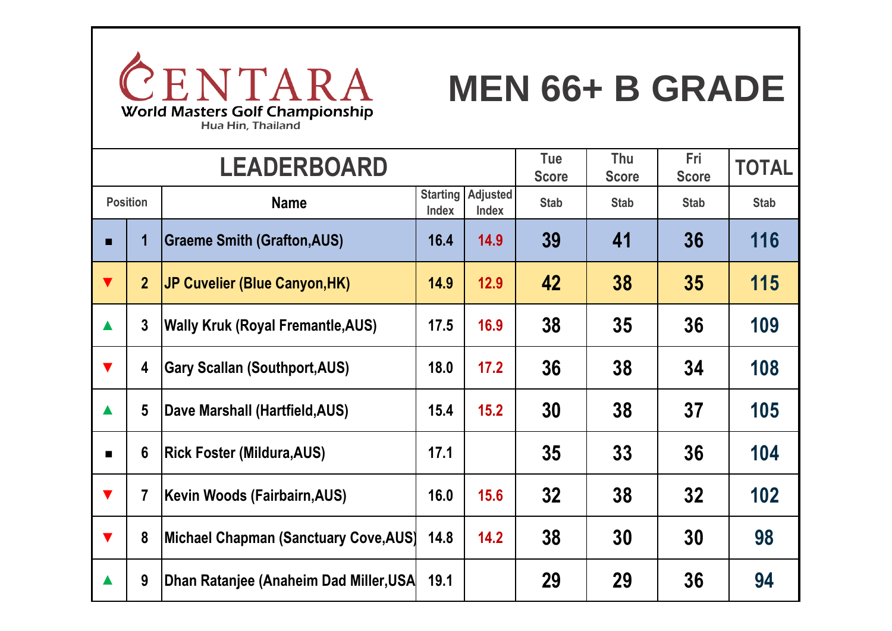

#### **MEN 66+ B GRADE**

|                      |                                | <b>LEADERBOARD</b>                       |      | <b>Tue</b><br><b>Score</b>                  | Thu<br><b>Score</b> | Fri<br><b>Score</b> | <b>TOTAL</b> |             |
|----------------------|--------------------------------|------------------------------------------|------|---------------------------------------------|---------------------|---------------------|--------------|-------------|
|                      | <b>Position</b><br><b>Name</b> |                                          |      | Adjusted<br><b>Starting</b><br><b>Index</b> | <b>Stab</b>         | <b>Stab</b>         | <b>Stab</b>  | <b>Stab</b> |
| п                    |                                | <b>Graeme Smith (Grafton, AUS)</b>       | 16.4 | 14.9                                        | 39                  | 41                  | 36           | 116         |
| $\blacktriangledown$ | $\overline{2}$                 | <b>JP Cuvelier (Blue Canyon, HK)</b>     | 14.9 | 12.9                                        | 42                  | 38                  | 35           | 115         |
| $\blacktriangle$     | $\overline{3}$                 | <b>Wally Kruk (Royal Fremantle, AUS)</b> | 17.5 | 16.9                                        | 38                  | 35                  | 36           | 109         |
| $\blacktriangledown$ | 4                              | <b>Gary Scallan (Southport, AUS)</b>     | 18.0 | 17.2                                        | 36                  | 38                  | 34           | 108         |
|                      | $5\phantom{.0}$                | Dave Marshall (Hartfield, AUS)           | 15.4 | 15.2                                        | 30                  | 38                  | 37           | 105         |
| $\blacksquare$       | $6\phantom{1}6$                | <b>Rick Foster (Mildura, AUS)</b>        | 17.1 |                                             | 35                  | 33                  | 36           | 104         |
| $\blacktriangledown$ | $\overline{7}$                 | Kevin Woods (Fairbairn, AUS)             | 16.0 | 15.6                                        | 32                  | 38                  | 32           | 102         |
| $\blacktriangledown$ | 8                              | Michael Chapman (Sanctuary Cove, AUS)    | 14.8 | 14.2                                        | 38                  | 30                  | 30           | 98          |
|                      | 9                              | Dhan Ratanjee (Anaheim Dad Miller, USA   | 19.1 |                                             | 29                  | 29                  | 36           | 94          |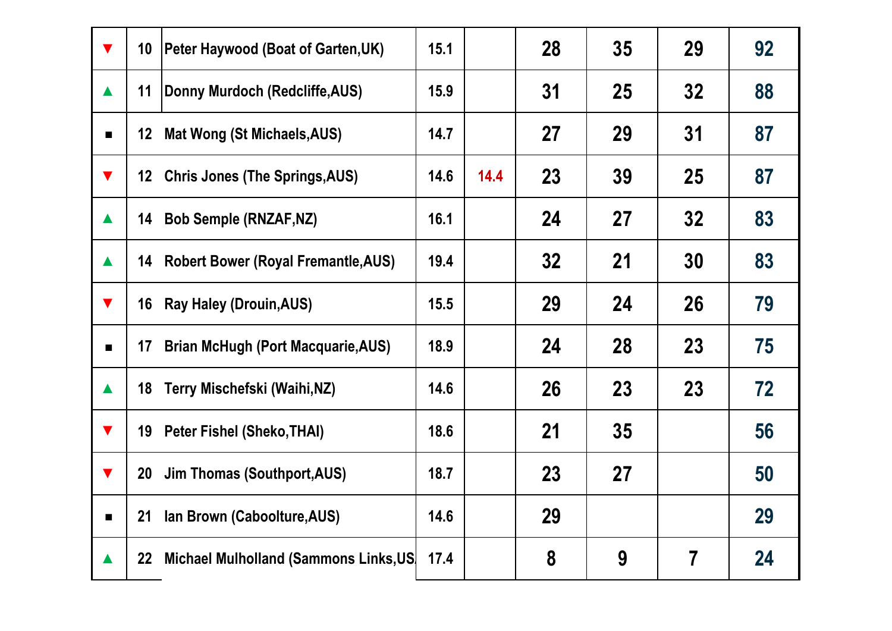| $\blacktriangledown$ | 10 <sup>°</sup> | <b>Peter Haywood (Boat of Garten, UK)</b> | 15.1 |      | 28 | 35 | 29             | 92 |
|----------------------|-----------------|-------------------------------------------|------|------|----|----|----------------|----|
| $\blacktriangle$     | 11              | Donny Murdoch (Redcliffe, AUS)            | 15.9 |      | 31 | 25 | 32             | 88 |
| $\blacksquare$       |                 | 12 Mat Wong (St Michaels, AUS)            | 14.7 |      | 27 | 29 | 31             | 87 |
| $\blacktriangledown$ |                 | 12 Chris Jones (The Springs, AUS)         | 14.6 | 14.4 | 23 | 39 | 25             | 87 |
| $\blacktriangle$     | 14              | <b>Bob Semple (RNZAF, NZ)</b>             | 16.1 |      | 24 | 27 | 32             | 83 |
| $\blacktriangle$     |                 | 14 Robert Bower (Royal Fremantle, AUS)    | 19.4 |      | 32 | 21 | 30             | 83 |
| $\blacktriangledown$ |                 | 16 Ray Haley (Drouin, AUS)                | 15.5 |      | 29 | 24 | 26             | 79 |
| $\blacksquare$       | 17              | <b>Brian McHugh (Port Macquarie, AUS)</b> | 18.9 |      | 24 | 28 | 23             | 75 |
| $\blacktriangle$     | 18              | Terry Mischefski (Waihi,NZ)               | 14.6 |      | 26 | 23 | 23             | 72 |
| $\blacktriangledown$ |                 | 19 Peter Fishel (Sheko, THAI)             | 18.6 |      | 21 | 35 |                | 56 |
| $\blacktriangledown$ | 20 <sub>2</sub> | <b>Jim Thomas (Southport, AUS)</b>        | 18.7 |      | 23 | 27 |                | 50 |
| $\blacksquare$       | 21              | Ian Brown (Caboolture, AUS)               | 14.6 |      | 29 |    |                | 29 |
| $\blacktriangle$     | $22 \,$         | Michael Mulholland (Sammons Links, US     | 17.4 |      | 8  | 9  | $\overline{7}$ | 24 |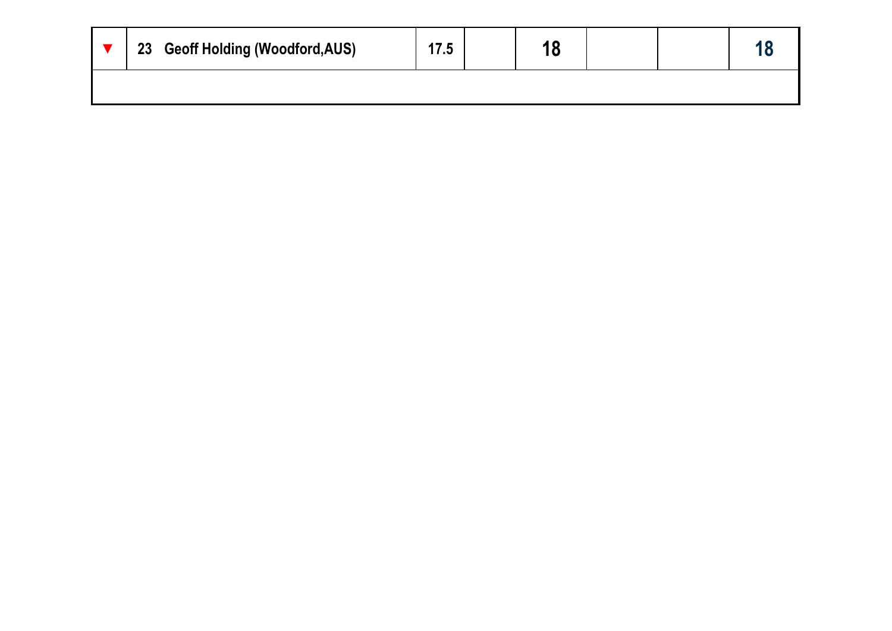| 23 Geoff Holding (Woodford, AUS) |  |  |  |
|----------------------------------|--|--|--|
|                                  |  |  |  |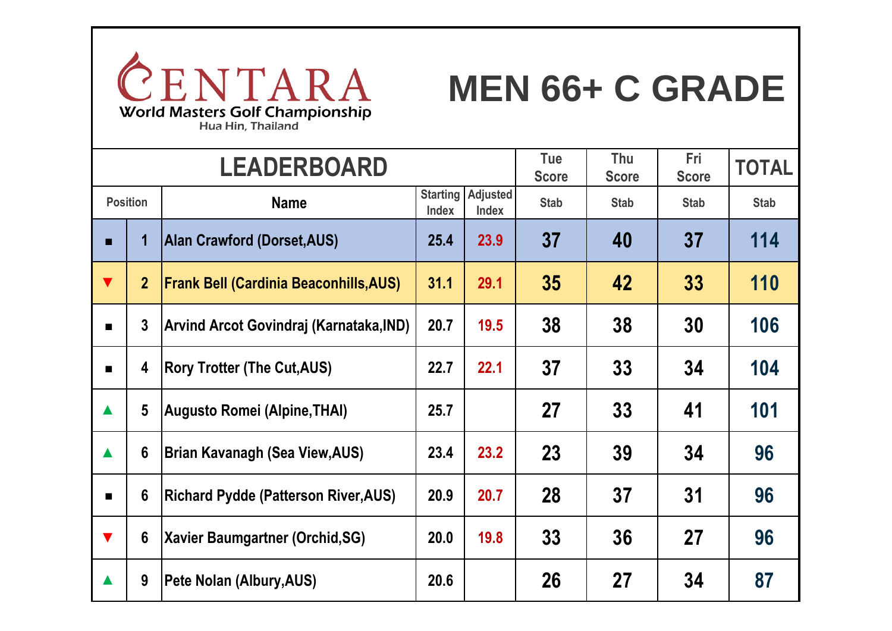

#### **MEN 66+ C GRADE**

|                      |                                | <b>LEADERBOARD</b>                            |      | <b>Tue</b><br><b>Score</b>               | Thu<br><b>Score</b> | Fri<br><b>Score</b> | <b>TOTAL</b> |             |
|----------------------|--------------------------------|-----------------------------------------------|------|------------------------------------------|---------------------|---------------------|--------------|-------------|
|                      | <b>Position</b><br><b>Name</b> |                                               |      | <b>Starting Adjusted</b><br><b>Index</b> | <b>Stab</b>         | <b>Stab</b>         | <b>Stab</b>  | <b>Stab</b> |
| п.                   | 1                              | Alan Crawford (Dorset, AUS)                   | 25.4 | 23.9                                     | 37                  | 40                  | 37           | 114         |
| $\blacktriangledown$ | $\overline{2}$                 | <b>Frank Bell (Cardinia Beaconhills, AUS)</b> | 31.1 | 29.1                                     | 35                  | 42                  | 33           | 110         |
| $\blacksquare$       | $\mathbf{3}$                   | Arvind Arcot Govindraj (Karnataka,IND)        | 20.7 | 19.5                                     | 38                  | 38                  | 30           | 106         |
| $\blacksquare$       | 4                              | <b>Rory Trotter (The Cut, AUS)</b>            | 22.7 | 22.1                                     | 37                  | 33                  | 34           | 104         |
| $\blacktriangle$     | 5                              | <b>Augusto Romei (Alpine, THAI)</b>           | 25.7 |                                          | 27                  | 33                  | 41           | 101         |
| $\blacktriangle$     | $6\phantom{1}$                 | Brian Kavanagh (Sea View,AUS)                 | 23.4 | 23.2                                     | 23                  | 39                  | 34           | 96          |
| $\blacksquare$       | 6                              | <b>Richard Pydde (Patterson River, AUS)</b>   | 20.9 | 20.7                                     | 28                  | 37                  | 31           | 96          |
| $\blacktriangledown$ | $6\phantom{1}$                 | <b>Xavier Baumgartner (Orchid, SG)</b>        | 20.0 | 19.8                                     | 33                  | 36                  | 27           | 96          |
|                      | 9                              | Pete Nolan (Albury, AUS)                      | 20.6 |                                          | 26                  | 27                  | 34           | 87          |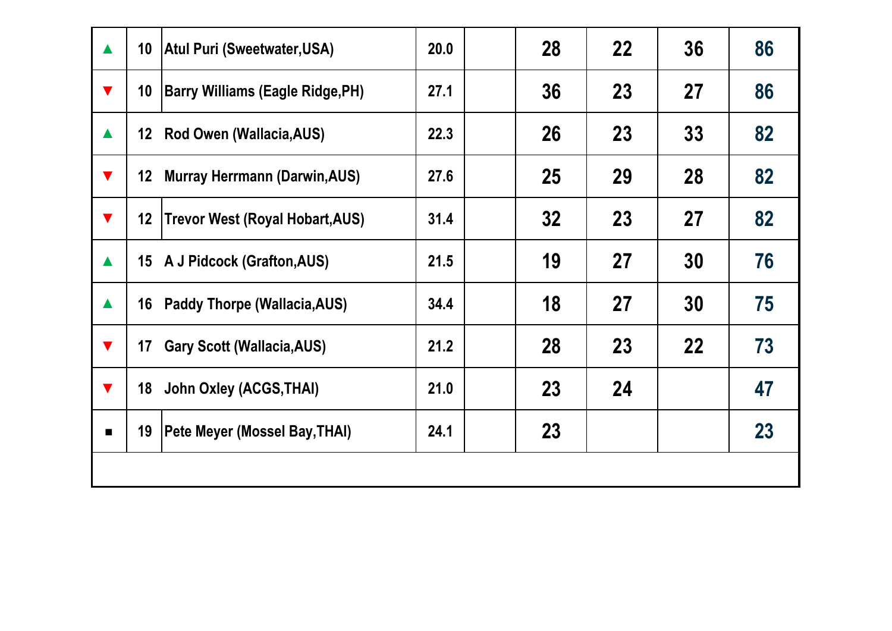| $\blacktriangle$     | 10 <sup>°</sup>  | <b>Atul Puri (Sweetwater, USA)</b>      | 20.0 | 28 | 22 | 36        | 86 |
|----------------------|------------------|-----------------------------------------|------|----|----|-----------|----|
| $\blacktriangledown$ | 10 <sup>°</sup>  | <b>Barry Williams (Eagle Ridge, PH)</b> | 27.1 | 36 | 23 | 27        | 86 |
| $\blacktriangle$     |                  | 12 Rod Owen (Wallacia, AUS)             | 22.3 | 26 | 23 | 33        | 82 |
| $\blacktriangledown$ | 12 <sup>12</sup> | <b>Murray Herrmann (Darwin, AUS)</b>    | 27.6 | 25 | 29 | 28        | 82 |
| $\blacktriangledown$ | 12 <sub>2</sub>  | <b>Trevor West (Royal Hobart, AUS)</b>  | 31.4 | 32 | 23 | <b>27</b> | 82 |
| $\blacktriangle$     |                  | 15 A J Pidcock (Grafton, AUS)           | 21.5 | 19 | 27 | 30        | 76 |
| $\blacktriangle$     |                  | 16 Paddy Thorpe (Wallacia, AUS)         | 34.4 | 18 | 27 | 30        | 75 |
| $\blacktriangledown$ | 17               | <b>Gary Scott (Wallacia, AUS)</b>       | 21.2 | 28 | 23 | 22        | 73 |
| $\blacktriangledown$ |                  | 18 John Oxley (ACGS, THAI)              | 21.0 | 23 | 24 |           | 47 |
| $\blacksquare$       | 19               | <b>Pete Meyer (Mossel Bay, THAI)</b>    | 24.1 | 23 |    |           | 23 |
|                      |                  |                                         |      |    |    |           |    |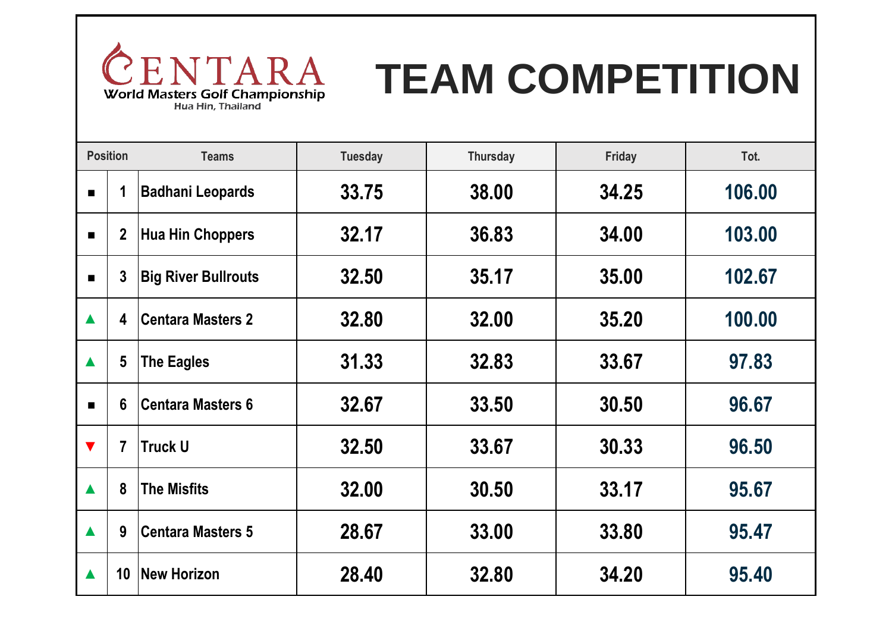

# **TEAM COMPETITION**

|                      | <b>Position</b> | <b>Teams</b>               | <b>Tuesday</b> | <b>Thursday</b> | Friday | Tot.   |
|----------------------|-----------------|----------------------------|----------------|-----------------|--------|--------|
| п                    |                 | <b>Badhani Leopards</b>    | 33.75          | 38.00           | 34.25  | 106.00 |
| п                    | $\mathbf{2}$    | <b>Hua Hin Choppers</b>    | 32.17          | 36.83           | 34.00  | 103.00 |
| $\blacksquare$       | 3               | <b>Big River Bullrouts</b> | 32.50          | 35.17           | 35.00  | 102.67 |
| $\blacktriangle$     | 4               | <b>Centara Masters 2</b>   | 32.80          | 32.00           | 35.20  | 100.00 |
| $\blacktriangle$     | $5\phantom{.0}$ | <b>The Eagles</b>          | 31.33          | 32.83           | 33.67  | 97.83  |
| $\blacksquare$       | 6               | <b>Centara Masters 6</b>   | 32.67          | 33.50           | 30.50  | 96.67  |
| $\blacktriangledown$ | $\overline{7}$  | <b>Truck U</b>             | 32.50          | 33.67           | 30.33  | 96.50  |
|                      | 8               | <b>The Misfits</b>         | 32.00          | 30.50           | 33.17  | 95.67  |
| $\blacktriangle$     | 9               | <b>Centara Masters 5</b>   | 28.67          | 33.00           | 33.80  | 95.47  |
|                      | 10              | <b>New Horizon</b>         | 28.40          | 32.80           | 34.20  | 95.40  |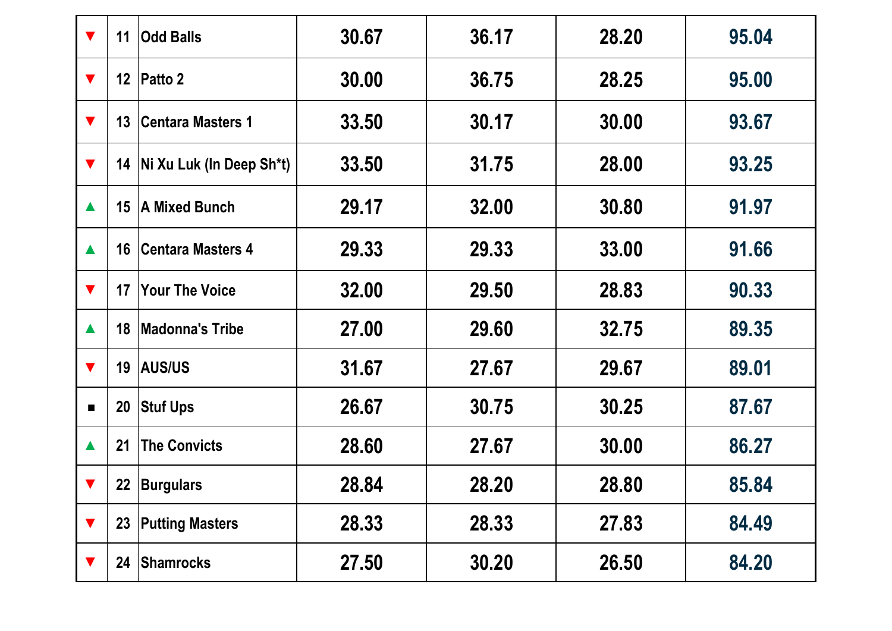| $\blacktriangledown$ | 11              | <b>Odd Balls</b>              | 30.67 | 36.17 | 28.20 | 95.04 |
|----------------------|-----------------|-------------------------------|-------|-------|-------|-------|
| $\blacktriangledown$ |                 | 12   Patto 2                  | 30.00 | 36.75 | 28.25 | 95.00 |
| $\blacktriangledown$ | 13 <sup>°</sup> | <b>Centara Masters 1</b>      | 33.50 | 30.17 | 30.00 | 93.67 |
| $\blacktriangledown$ |                 | 14   Ni Xu Luk (In Deep Sh*t) | 33.50 | 31.75 | 28.00 | 93.25 |
| $\blacktriangle$     |                 | 15 A Mixed Bunch              | 29.17 | 32.00 | 30.80 | 91.97 |
| $\blacktriangle$     | 16              | <b>Centara Masters 4</b>      | 29.33 | 29.33 | 33.00 | 91.66 |
| $\blacktriangledown$ | 17              | <b>Your The Voice</b>         | 32.00 | 29.50 | 28.83 | 90.33 |
| $\blacktriangle$     | 18              | Madonna's Tribe               | 27.00 | 29.60 | 32.75 | 89.35 |
| $\blacktriangledown$ |                 | 19 AUS/US                     | 31.67 | 27.67 | 29.67 | 89.01 |
| $\blacksquare$       | <b>20</b>       | <b>Stuf Ups</b>               | 26.67 | 30.75 | 30.25 | 87.67 |
| $\blacktriangle$     | 21              | <b>The Convicts</b>           | 28.60 | 27.67 | 30.00 | 86.27 |
| $\blacktriangledown$ |                 | 22   Burgulars                | 28.84 | 28.20 | 28.80 | 85.84 |
| $\blacktriangledown$ |                 | 23 Putting Masters            | 28.33 | 28.33 | 27.83 | 84.49 |
|                      | 24              | Shamrocks                     | 27.50 | 30.20 | 26.50 | 84.20 |